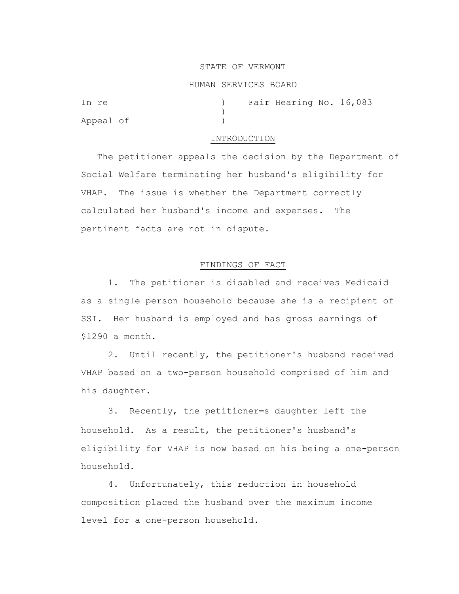# STATE OF VERMONT

### HUMAN SERVICES BOARD

| In re     |  | Fair Hearing No. 16,083 |  |
|-----------|--|-------------------------|--|
|           |  |                         |  |
| Appeal of |  |                         |  |

### INTRODUCTION

 The petitioner appeals the decision by the Department of Social Welfare terminating her husband's eligibility for VHAP. The issue is whether the Department correctly calculated her husband's income and expenses. The pertinent facts are not in dispute.

# FINDINGS OF FACT

1. The petitioner is disabled and receives Medicaid as a single person household because she is a recipient of SSI. Her husband is employed and has gross earnings of \$1290 a month.

2. Until recently, the petitioner's husband received VHAP based on a two-person household comprised of him and his daughter.

3. Recently, the petitioner=s daughter left the household. As a result, the petitioner's husband's eligibility for VHAP is now based on his being a one-person household.

4. Unfortunately, this reduction in household composition placed the husband over the maximum income level for a one-person household.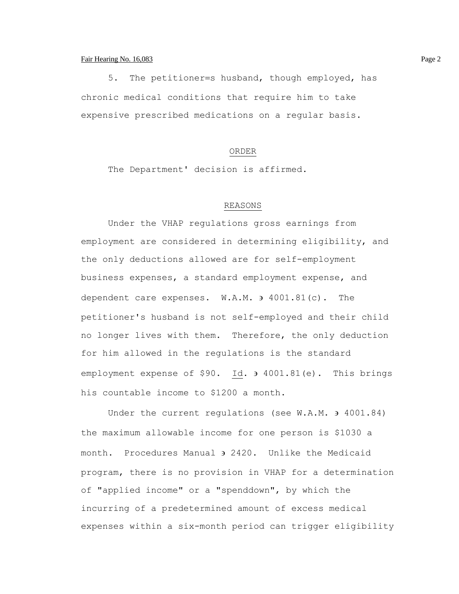# Fair Hearing No. 16,083 Page 2

5. The petitioner=s husband, though employed, has chronic medical conditions that require him to take expensive prescribed medications on a regular basis.

#### ORDER

The Department' decision is affirmed.

# REASONS

Under the VHAP regulations gross earnings from employment are considered in determining eligibility, and the only deductions allowed are for self-employment business expenses, a standard employment expense, and dependent care expenses. W.A.M.  $\theta$  4001.81(c). The petitioner's husband is not self-employed and their child no longer lives with them. Therefore, the only deduction for him allowed in the regulations is the standard employment expense of \$90. Id.  $\frac{1}{2}$  4001.81(e). This brings his countable income to \$1200 a month.

Under the current requlations (see  $W.A.M.$  ) 4001.84) the maximum allowable income for one person is \$1030 a month. Procedures Manual 2420. Unlike the Medicaid program, there is no provision in VHAP for a determination of "applied income" or a "spenddown", by which the incurring of a predetermined amount of excess medical expenses within a six-month period can trigger eligibility